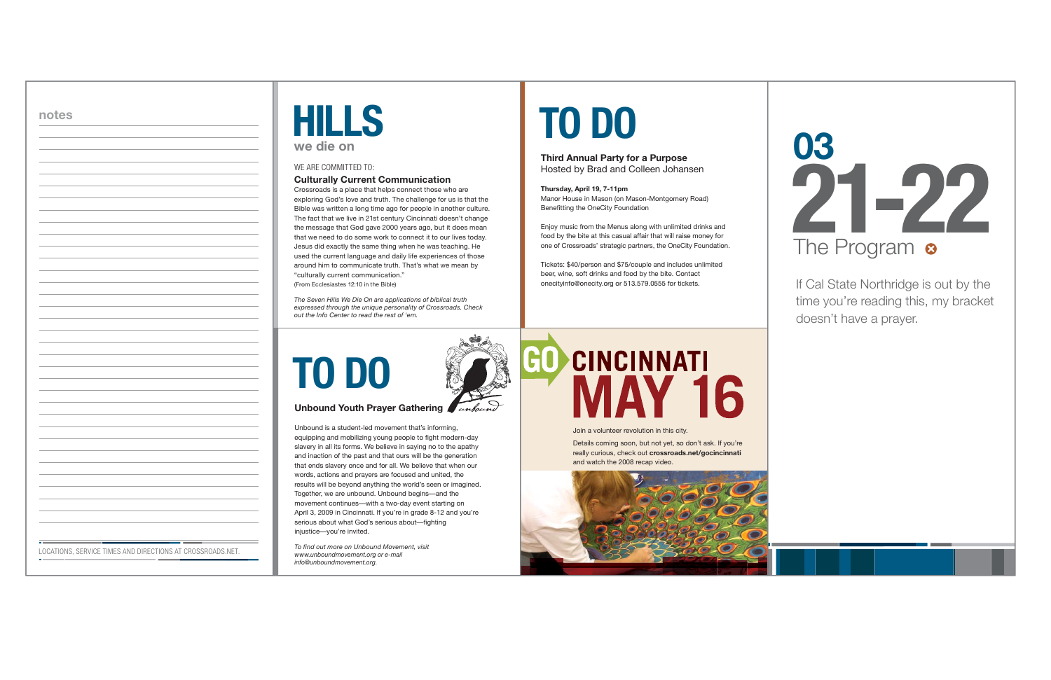| <b>TO DO</b> |
|--------------|
|              |

#### **Unbound Youth Prayer Gathering**

Unbound is a student-led movement that's informing, equipping and mobilizing young people to fight modern-day slavery in all its forms. We believe in saying no to the apathy and inaction of the past and that ours will be the generation that ends slavery once and for all. We believe that when our words, actions and prayers are focused and united, the results will be beyond anything the world's seen or imagined. Together, we are unbound. Unbound begins—and the movement continues—with a two-day event starting on April 3, 2009 in Cincinnati. If you're in grade 8-12 and you're serious about what God's serious about—fighting injustice—you're invited.

*To find out more on Unbound Movement, visit www.unboundmovement.org or e-mail info@unboundmovement.org.*

## **CINCINNATI** 60 **MAY 16**

Crossroads is a place that helps connect those who are exploring God's love and truth. The challenge for us is that the Bible was written a long time ago for people in another culture. The fact that we live in 21st century Cincinnati doesn't change the message that God gave 2000 years ago, but it does mean that we need to do some work to connect it to our lives today. Jesus did exactly the same thing when he was teaching. He used the current language and daily life experiences of those around him to communicate truth. That's what we mean by "culturally current communication." (From Ecclesiastes 12:10 in the Bible)

#### **Culturally Current Communication**  WE ARE COMMITTED TO:

| a y<br><b>d</b> typ |           |  |
|---------------------|-----------|--|
|                     | we die on |  |

*The Seven Hills We Die On are applications of biblical truth expressed through the unique personality of Crossroads. Check out the Info Center to read the rest of 'em.*

# **TO DO**

#### **Third Annual Party for a Purpose**  Hosted by Brad and Colleen Johansen

#### **Thursday, April 19, 7-11pm**

Manor House in Mason (on Mason-Montgomery Road) Benefitting the OneCity Foundation

Enjoy music from the Menus along with unlimited drinks and food by the bite at this casual affair that will raise money for one of Crossroads' strategic partners, the OneCity Foundation.

Tickets: \$40/person and \$75/couple and includes unlimited beer, wine, soft drinks and food by the bite. Contact onecityinfo@onecity.org or 513.579.0555 for tickets.

If Cal State Northridge is out by the time you're reading this, my bracket doesn't have a prayer.



LOCATIONS, SERVICE TIMES AND DIRECTIONS AT CROSSROADS.NET.

Join a volunteer revolution in this city.

Details coming soon, but not yet, so don't ask. If you're really curious, check out **crossroads.net/gocincinnati** and watch the 2008 recap video.